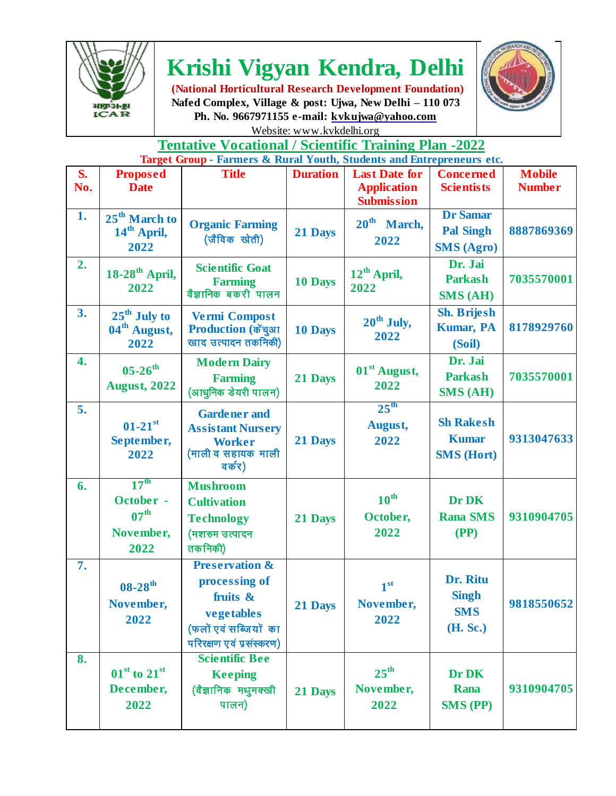

## **Krishi Vigyan Kendra, Delhi**

**(National Horticultural Research Development Foundation) Nafed Complex, Village & post: Ujwa, New Delhi – 110 073 Ph. No. 9667971155 e-mail: kvkujwa@yahoo.com**  Website: www.kvkdelhi.org



## **Tentative Vocational / Scientific Training Plan -2022 Target Group - Farmers & Rural Youth, Students and Entrepreneurs etc.**

| S.<br>No. | <b>Proposed</b><br><b>Date</b>                                         | <b>Title</b>                                                                                                              | <b>Duration</b> | <b>Last Date for</b><br><b>Application</b><br><b>Submission</b> | <b>Concerned</b><br><b>Scientists</b>                    | <b>Mobile</b><br><b>Number</b> |
|-----------|------------------------------------------------------------------------|---------------------------------------------------------------------------------------------------------------------------|-----------------|-----------------------------------------------------------------|----------------------------------------------------------|--------------------------------|
| 1.        | 25 <sup>th</sup> March to<br>14 <sup>th</sup> April,<br>2022           | <b>Organic Farming</b><br>(जैविक खेती)                                                                                    | 21 Days         | 20 <sup>th</sup> March,<br>2022                                 | <b>Dr Samar</b><br><b>Pal Singh</b><br><b>SMS</b> (Agro) | 8887869369                     |
| 2.        | $18-28$ <sup>th</sup> April,<br>2022                                   | <b>Scientific Goat</b><br><b>Farming</b><br>वैज्ञानिक बकरी पालन                                                           | 10 Days         | 12 <sup>th</sup> April,<br>2022                                 | Dr. Jai<br><b>Parkash</b><br><b>SMS (AH)</b>             | 7035570001                     |
| 3.        | $25th$ July to<br>04 <sup>th</sup> August,<br>2022                     | <b>Vermi Compost</b><br>Production (केंचुआ<br>खाद उत्पादन तकनिकी)                                                         | 10 Days         | $20th$ July,<br>2022                                            | <b>Sh. Brijesh</b><br><b>Kumar, PA</b><br>(Soil)         | 8178929760                     |
| 4.        | $05 - 26$ <sup>th</sup><br><b>August, 2022</b>                         | <b>Modern Dairy</b><br><b>Farming</b><br>(आधुनिक डेयरी पालन)                                                              | 21 Days         | 01 <sup>st</sup> August,<br>2022                                | Dr. Jai<br><b>Parkash</b><br><b>SMS (AH)</b>             | 7035570001                     |
| 5.        | $01-21$ <sup>st</sup><br>September,<br>2022                            | <b>Gardener</b> and<br><b>Assistant Nursery</b><br><b>Worker</b><br>(माली व सहायक माली<br>वर्कर)                          | 21 Days         | 25 <sup>th</sup><br>August,<br>2022                             | <b>Sh Rakesh</b><br><b>Kumar</b><br><b>SMS (Hort)</b>    | 9313047633                     |
| 6.        | 17 <sup>th</sup><br>October -<br>07 <sup>th</sup><br>November,<br>2022 | <b>Mushroom</b><br><b>Cultivation</b><br><b>Technology</b><br>(मशरुम उत्पादन<br>तकनिकी)                                   | 21 Days         | $10^{\text{th}}$<br>October,<br>2022                            | Dr DK<br><b>Rana SMS</b><br>(PP)                         | 9310904705                     |
| 7.        | $08 - 28$ <sup>th</sup><br>November,<br>2022                           | <b>Preservation &amp;</b><br>processing of<br>fruits &<br>vegetables<br>(फलों एवं सब्जियों का<br>परिरक्षण एवं प्रसंस्करण) | 21 Days         | 1 <sup>st</sup><br>November,<br>2022                            | Dr. Ritu<br><b>Singh</b><br><b>SMS</b><br>(H. Sc.)       | 9818550652                     |
| 8.        | $01st$ to $21st$<br>December,<br>2022                                  | <b>Scientific Bee</b><br><b>Keeping</b><br>(वैज्ञानिक मधुमक्खी<br>पालन)                                                   | 21 Days         | $25^{\text{th}}$<br>November,<br>2022                           | Dr DK<br><b>Rana</b><br><b>SMS (PP)</b>                  | 9310904705                     |